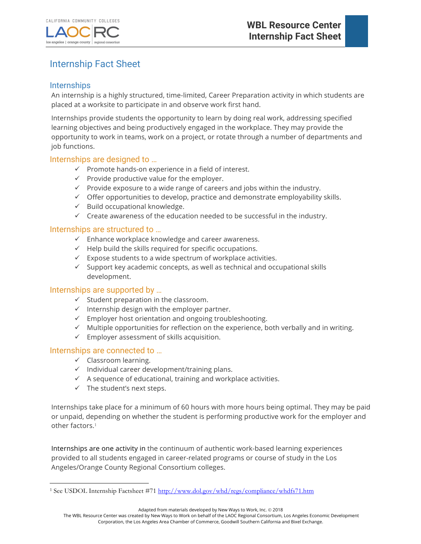

# Internship Fact Sheet

## **Internships**

An internship is a highly structured, time-limited, Career Preparation activity in which students are placed at a worksite to participate in and observe work first hand.

Internships provide students the opportunity to learn by doing real work, addressing specified learning objectives and being productively engaged in the workplace. They may provide the opportunity to work in teams, work on a project, or rotate through a number of departments and job functions.

### Internships are designed to …

- $\checkmark$  Promote hands-on experience in a field of interest.
- $\checkmark$  Provide productive value for the employer.
- $\checkmark$  Provide exposure to a wide range of careers and jobs within the industry.
- $\checkmark$  Offer opportunities to develop, practice and demonstrate employability skills.
- $\checkmark$  Build occupational knowledge.
- $\checkmark$  Create awareness of the education needed to be successful in the industry.

### Internships are structured to …

- $\checkmark$  Enhance workplace knowledge and career awareness.
- $\checkmark$  Help build the skills required for specific occupations.
- $\checkmark$  Expose students to a wide spectrum of workplace activities.
- $\checkmark$  Support key academic concepts, as well as technical and occupational skills development.

### Internships are supported by …

- $\checkmark$  Student preparation in the classroom.
- $\checkmark$  Internship design with the employer partner.
- $\checkmark$  Employer host orientation and ongoing troubleshooting.
- $\checkmark$  Multiple opportunities for reflection on the experience, both verbally and in writing.
- $\checkmark$  Employer assessment of skills acquisition.

#### Internships are connected to …

- $\checkmark$  Classroom learning.
- $\checkmark$  Individual career development/training plans.
- $\checkmark$  A sequence of educational, training and workplace activities.
- $\checkmark$  The student's next steps.

Internships take place for a minimum of 60 hours with more hours being optimal. They may be paid or unpaid, depending on whether the student is performing productive work for the employer and other factors.<sup>1</sup>

Internships are one activity in the continuum of authentic work-based learning experiences provided to all students engaged in career-related programs or course of study in the Los Angeles/Orange County Regional Consortium colleges.

Adapted from materials developed by New Ways to Work, Inc. © 2018

 $\overline{a}$ <sup>1</sup> See USDOL Internship Factsheet #71 http://www.dol.gov/whd/regs/compliance/whdfs71.htm